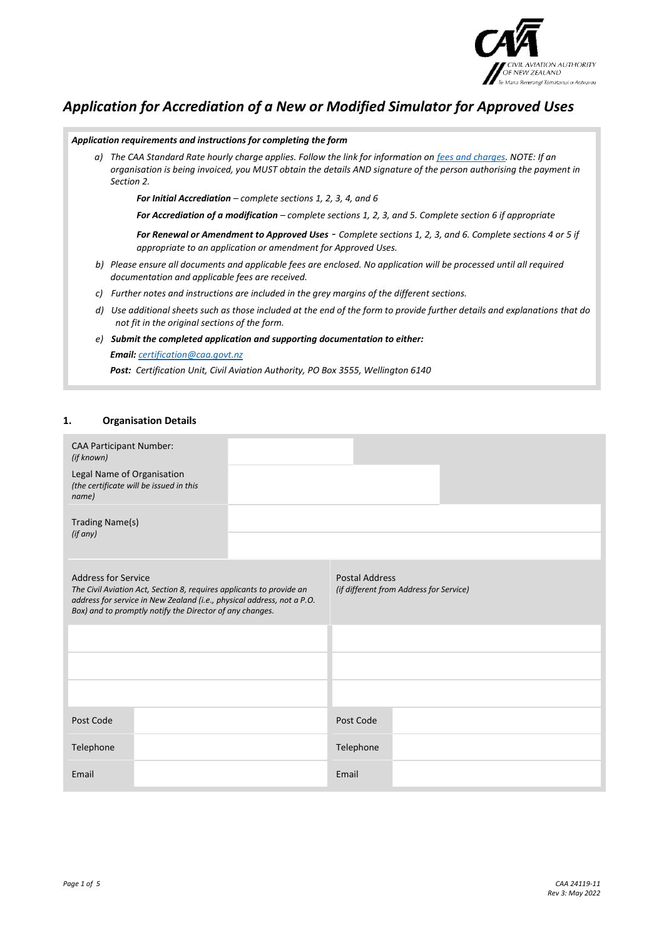

# *Application for Accrediation of a New or Modified Simulator for Approved Uses*

|    | Application requirements and instructions for completing the form                                                                                                                                                                                    |
|----|------------------------------------------------------------------------------------------------------------------------------------------------------------------------------------------------------------------------------------------------------|
|    | a) The CAA Standard Rate hourly charge applies. Follow the link for information on fees and charges. NOTE: If an<br>organisation is being invoiced, you MUST obtain the details AND signature of the person authorising the payment in<br>Section 2. |
|    | <b>For Initial Accrediation</b> – complete sections 1, 2, 3, 4, and 6                                                                                                                                                                                |
|    | For Accrediation of a modification - complete sections 1, 2, 3, and 5. Complete section 6 if appropriate                                                                                                                                             |
|    | For Renewal or Amendment to Approved Uses - Complete sections 1, 2, 3, and 6. Complete sections 4 or 5 if<br>appropriate to an application or amendment for Approved Uses.                                                                           |
|    | b) Please ensure all documents and applicable fees are enclosed. No application will be processed until all required<br>documentation and applicable fees are received.                                                                              |
| C) | Further notes and instructions are included in the grey margins of the different sections.                                                                                                                                                           |
| d) | Use additional sheets such as those included at the end of the form to provide further details and explanations that do<br>not fit in the original sections of the form.                                                                             |
| e) | Submit the completed application and supporting documentation to either:                                                                                                                                                                             |
|    | <b>Email:</b> certification@caa.govt.nz                                                                                                                                                                                                              |
|    | <b>Post:</b> Certification Unit, Civil Aviation Authority, PO Box 3555, Wellington 6140                                                                                                                                                              |

## **1. Organisation Details**

| <b>CAA Participant Number:</b><br>(if known)                                                                                                                                                                                             |                                                                  |
|------------------------------------------------------------------------------------------------------------------------------------------------------------------------------------------------------------------------------------------|------------------------------------------------------------------|
| Legal Name of Organisation<br>(the certificate will be issued in this<br>name)                                                                                                                                                           |                                                                  |
| Trading Name(s)<br>(if any)                                                                                                                                                                                                              |                                                                  |
| <b>Address for Service</b><br>The Civil Aviation Act, Section 8, requires applicants to provide an<br>address for service in New Zealand (i.e., physical address, not a P.O.<br>Box) and to promptly notify the Director of any changes. | <b>Postal Address</b><br>(if different from Address for Service) |
|                                                                                                                                                                                                                                          |                                                                  |
|                                                                                                                                                                                                                                          |                                                                  |
|                                                                                                                                                                                                                                          |                                                                  |
| Post Code                                                                                                                                                                                                                                | Post Code                                                        |
| Telephone                                                                                                                                                                                                                                | Telephone                                                        |
| Email                                                                                                                                                                                                                                    | Email                                                            |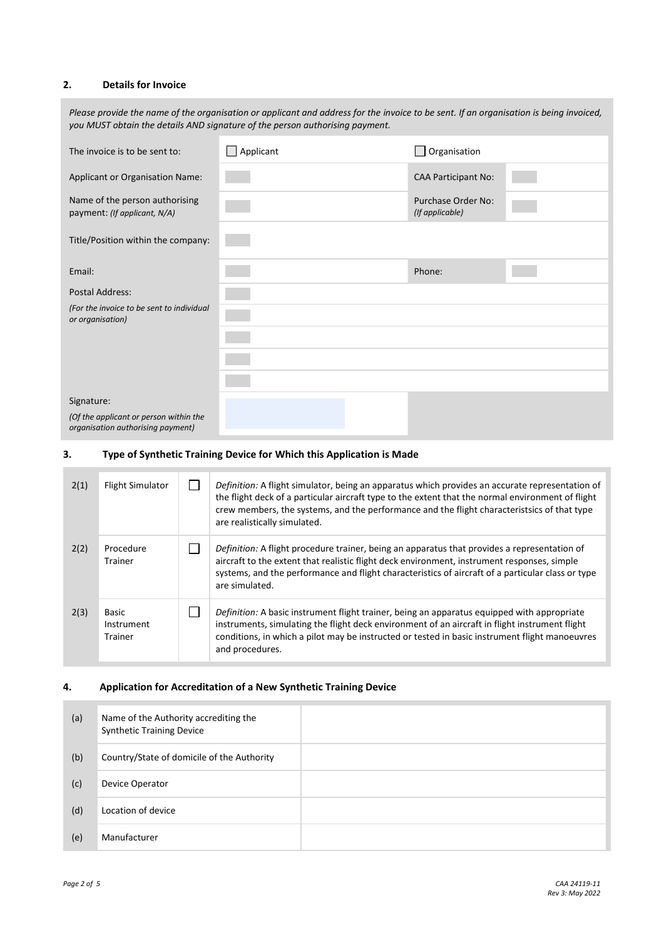### **2. Details for Invoice**

| Please provide the name of the organisation or applicant and address for the invoice to be sent. If an organisation is being invoiced,<br>you MUST obtain the details AND signature of the person authorising payment. |                  |                                              |  |  |
|------------------------------------------------------------------------------------------------------------------------------------------------------------------------------------------------------------------------|------------------|----------------------------------------------|--|--|
| The invoice is to be sent to:                                                                                                                                                                                          | $\Box$ Applicant | Organisation                                 |  |  |
| <b>Applicant or Organisation Name:</b>                                                                                                                                                                                 |                  | <b>CAA Participant No:</b>                   |  |  |
| Name of the person authorising<br>payment: (If applicant, N/A)                                                                                                                                                         |                  | <b>Purchase Order No:</b><br>(If applicable) |  |  |
| Title/Position within the company:                                                                                                                                                                                     |                  |                                              |  |  |
| Email:                                                                                                                                                                                                                 |                  | Phone:                                       |  |  |
| <b>Postal Address:</b>                                                                                                                                                                                                 |                  |                                              |  |  |
| (For the invoice to be sent to individual<br>or organisation)                                                                                                                                                          |                  |                                              |  |  |
|                                                                                                                                                                                                                        |                  |                                              |  |  |
|                                                                                                                                                                                                                        |                  |                                              |  |  |
|                                                                                                                                                                                                                        |                  |                                              |  |  |
| Signature:                                                                                                                                                                                                             |                  |                                              |  |  |
| (Of the applicant or person within the<br>organisation authorising payment)                                                                                                                                            |                  |                                              |  |  |

#### **3. Type of Synthetic Training Device for Which this Application is Made**

| 2(1) | <b>Flight Simulator</b>        | Definition: A flight simulator, being an apparatus which provides an accurate representation of<br>the flight deck of a particular aircraft type to the extent that the normal environment of flight<br>crew members, the systems, and the performance and the flight characteristsics of that type<br>are realistically simulated. |
|------|--------------------------------|-------------------------------------------------------------------------------------------------------------------------------------------------------------------------------------------------------------------------------------------------------------------------------------------------------------------------------------|
| 2(2) | Procedure<br>Trainer           | Definition: A flight procedure trainer, being an apparatus that provides a representation of<br>aircraft to the extent that realistic flight deck environment, instrument responses, simple<br>systems, and the performance and flight characteristics of aircraft of a particular class or type<br>are simulated.                  |
| 2(3) | Basic<br>Instrument<br>Trainer | <i>Definition:</i> A basic instrument flight trainer, being an apparatus equipped with appropriate<br>instruments, simulating the flight deck environment of an aircraft in flight instrument flight<br>conditions, in which a pilot may be instructed or tested in basic instrument flight manoeuvres<br>and procedures.           |

## **4. Application for Accreditation of a New Synthetic Training Device**

| (a) | Name of the Authority accrediting the<br><b>Synthetic Training Device</b> |  |
|-----|---------------------------------------------------------------------------|--|
| (b) | Country/State of domicile of the Authority                                |  |
| (c) | Device Operator                                                           |  |
| (d) | Location of device                                                        |  |
| (e) | Manufacturer                                                              |  |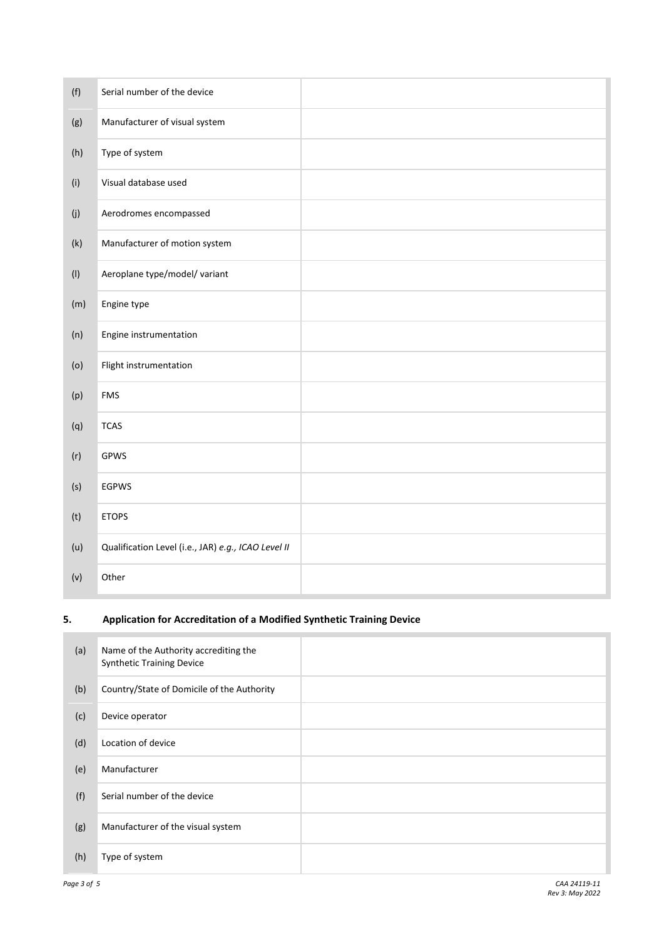| (f)            | Serial number of the device                         |  |
|----------------|-----------------------------------------------------|--|
| (g)            | Manufacturer of visual system                       |  |
| (h)            | Type of system                                      |  |
| (i)            | Visual database used                                |  |
| $(\mathsf{j})$ | Aerodromes encompassed                              |  |
| (k)            | Manufacturer of motion system                       |  |
| (1)            | Aeroplane type/model/ variant                       |  |
| (m)            | Engine type                                         |  |
| (n)            | Engine instrumentation                              |  |
| (0)            | Flight instrumentation                              |  |
| (p)            | <b>FMS</b>                                          |  |
| (q)            | <b>TCAS</b>                                         |  |
| (r)            | GPWS                                                |  |
| (s)            | <b>EGPWS</b>                                        |  |
| (t)            | <b>ETOPS</b>                                        |  |
| (u)            | Qualification Level (i.e., JAR) e.g., ICAO Level II |  |
| (v)            | Other                                               |  |

## **5. Application for Accreditation of a Modified Synthetic Training Device**

| (a) | Name of the Authority accrediting the<br><b>Synthetic Training Device</b> |  |
|-----|---------------------------------------------------------------------------|--|
| (b) | Country/State of Domicile of the Authority                                |  |
| (c) | Device operator                                                           |  |
| (d) | Location of device                                                        |  |
| (e) | Manufacturer                                                              |  |
| (f) | Serial number of the device                                               |  |
| (g) | Manufacturer of the visual system                                         |  |
| (h) | Type of system                                                            |  |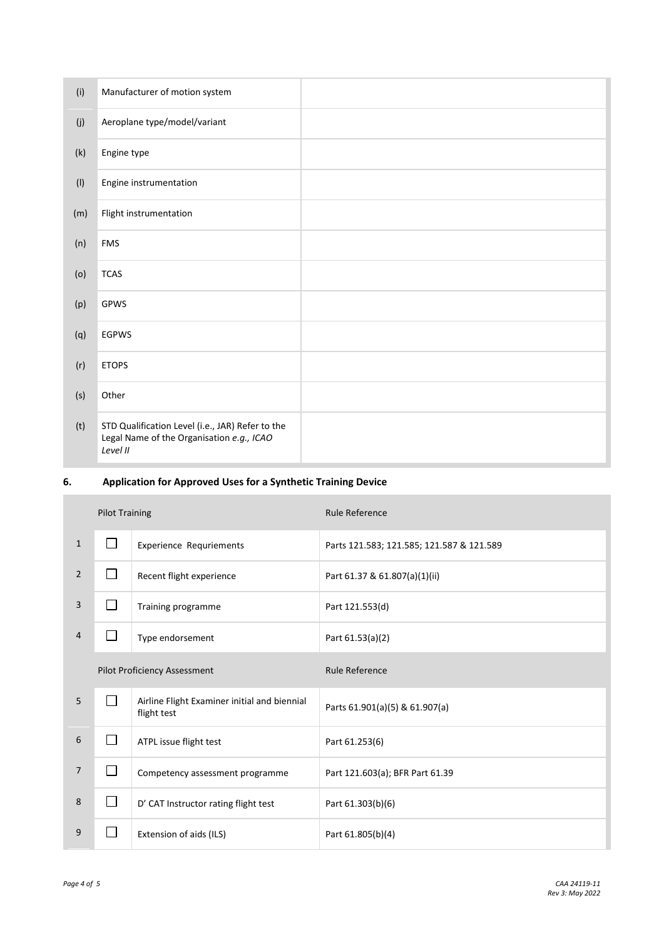| (i) | Manufacturer of motion system                                                                             |  |
|-----|-----------------------------------------------------------------------------------------------------------|--|
| (j) | Aeroplane type/model/variant                                                                              |  |
| (k) | Engine type                                                                                               |  |
| (1) | Engine instrumentation                                                                                    |  |
| (m) | Flight instrumentation                                                                                    |  |
| (n) | <b>FMS</b>                                                                                                |  |
| (o) | <b>TCAS</b>                                                                                               |  |
| (p) | GPWS                                                                                                      |  |
| (q) | <b>EGPWS</b>                                                                                              |  |
| (r) | <b>ETOPS</b>                                                                                              |  |
| (s) | Other                                                                                                     |  |
| (t) | STD Qualification Level (i.e., JAR) Refer to the<br>Legal Name of the Organisation e.g., ICAO<br>Level II |  |

## **6. Application for Approved Uses for a Synthetic Training Device**

|                | <b>Pilot Training</b>               |                                                             | <b>Rule Reference</b>                     |
|----------------|-------------------------------------|-------------------------------------------------------------|-------------------------------------------|
| $\mathbf{1}$   | $\Box$                              | <b>Experience Requriements</b>                              | Parts 121.583; 121.585; 121.587 & 121.589 |
| $\overline{2}$ | $\Box$                              | Recent flight experience                                    | Part 61.37 & 61.807(a)(1)(ii)             |
| 3              |                                     | Training programme                                          | Part 121.553(d)                           |
| 4              | $\sim$                              | Type endorsement                                            | Part 61.53(a)(2)                          |
|                | <b>Pilot Proficiency Assessment</b> |                                                             | <b>Rule Reference</b>                     |
| 5              |                                     | Airline Flight Examiner initial and biennial<br>flight test | Parts 61.901(a)(5) & 61.907(a)            |
| 6              | $\sim$                              | ATPL issue flight test                                      | Part 61.253(6)                            |
| 7              | $\mathcal{L}_{\mathcal{A}}$         | Competency assessment programme                             | Part 121.603(a); BFR Part 61.39           |
| 8              | $\Box$                              | D' CAT Instructor rating flight test                        | Part 61.303(b)(6)                         |
| 9              |                                     | Extension of aids (ILS)                                     | Part 61.805(b)(4)                         |